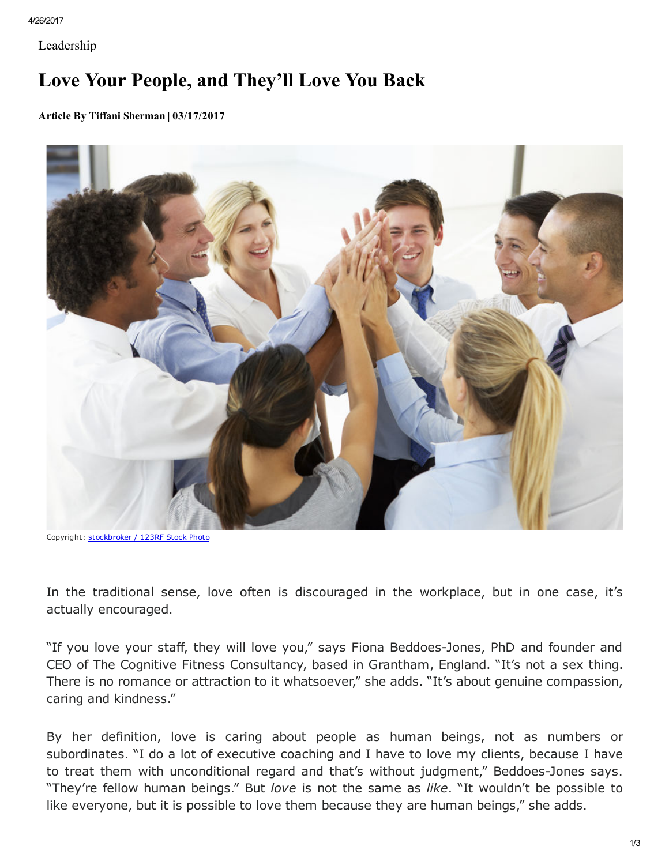```
4/26/2017
```
Leadership

## Love Your People, and They'll Love You Back

Article By Tiffani Sherman | 03/17/2017



Copyright: [stockbroker](http://www.123rf.com/profile_stockbroker) / 123RF Stock Photo

In the traditional sense, love often is discouraged in the workplace, but in one case, it's actually encouraged.

"If you love your staff, they will love you," says Fiona Beddoes-Jones, PhD and founder and CEO of The Cognitive Fitness Consultancy, based in Grantham, England. "It's not a sex thing. There is no romance or attraction to it whatsoever," she adds. "It's about genuine compassion, caring and kindness."

By her definition, love is caring about people as human beings, not as numbers or subordinates. "I do a lot of executive coaching and I have to love my clients, because I have to treat them with unconditional regard and that's without judgment," Beddoes-Jones says. "They're fellow human beings." But love is not the same as like. "It wouldn't be possible to like everyone, but it is possible to love them because they are human beings," she adds.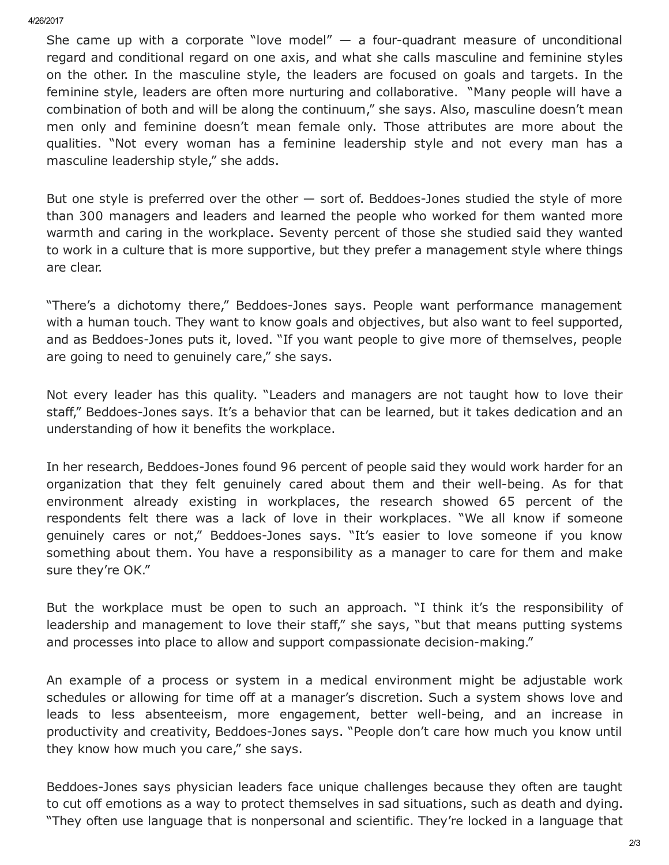4/26/2017

She came up with a corporate "love model"  $-$  a four-quadrant measure of unconditional regard and conditional regard on one axis, and what she calls masculine and feminine styles on the other. In the masculine style, the leaders are focused on goals and targets. In the feminine style, leaders are often more nurturing and collaborative. "Many people will have a combination of both and will be along the continuum," she says. Also, masculine doesn't mean men only and feminine doesn't mean female only. Those attributes are more about the qualities. "Not every woman has a feminine leadership style and not every man has a masculine leadership style," she adds.

But one style is preferred over the other  $-$  sort of. Beddoes-Jones studied the style of more than 300 managers and leaders and learned the people who worked for them wanted more warmth and caring in the workplace. Seventy percent of those she studied said they wanted to work in a culture that is more supportive, but they prefer a management style where things are clear.

"There's a dichotomy there," Beddoes-Jones says. People want performance management with a human touch. They want to know goals and objectives, but also want to feel supported, and as Beddoes-Jones puts it, loved. "If you want people to give more of themselves, people are going to need to genuinely care," she says.

Not every leader has this quality. "Leaders and managers are not taught how to love their staff," Beddoes-Jones says. It's a behavior that can be learned, but it takes dedication and an understanding of how it benefits the workplace.

In her research, Beddoes-Jones found 96 percent of people said they would work harder for an organization that they felt genuinely cared about them and their well-being. As for that environment already existing in workplaces, the research showed 65 percent of the respondents felt there was a lack of love in their workplaces. "We all know if someone genuinely cares or not," Beddoes-Jones says. "It's easier to love someone if you know something about them. You have a responsibility as a manager to care for them and make sure they're OK."

But the workplace must be open to such an approach. "I think it's the responsibility of leadership and management to love their staff," she says, "but that means putting systems and processes into place to allow and support compassionate decision-making."

An example of a process or system in a medical environment might be adjustable work schedules or allowing for time off at a manager's discretion. Such a system shows love and leads to less absenteeism, more engagement, better well-being, and an increase in productivity and creativity, Beddoes-Jones says. "People don't care how much you know until they know how much you care," she says.

Beddoes-Jones says physician leaders face unique challenges because they often are taught to cut off emotions as a way to protect themselves in sad situations, such as death and dying. "They often use language that is nonpersonal and scientific. They're locked in a language that